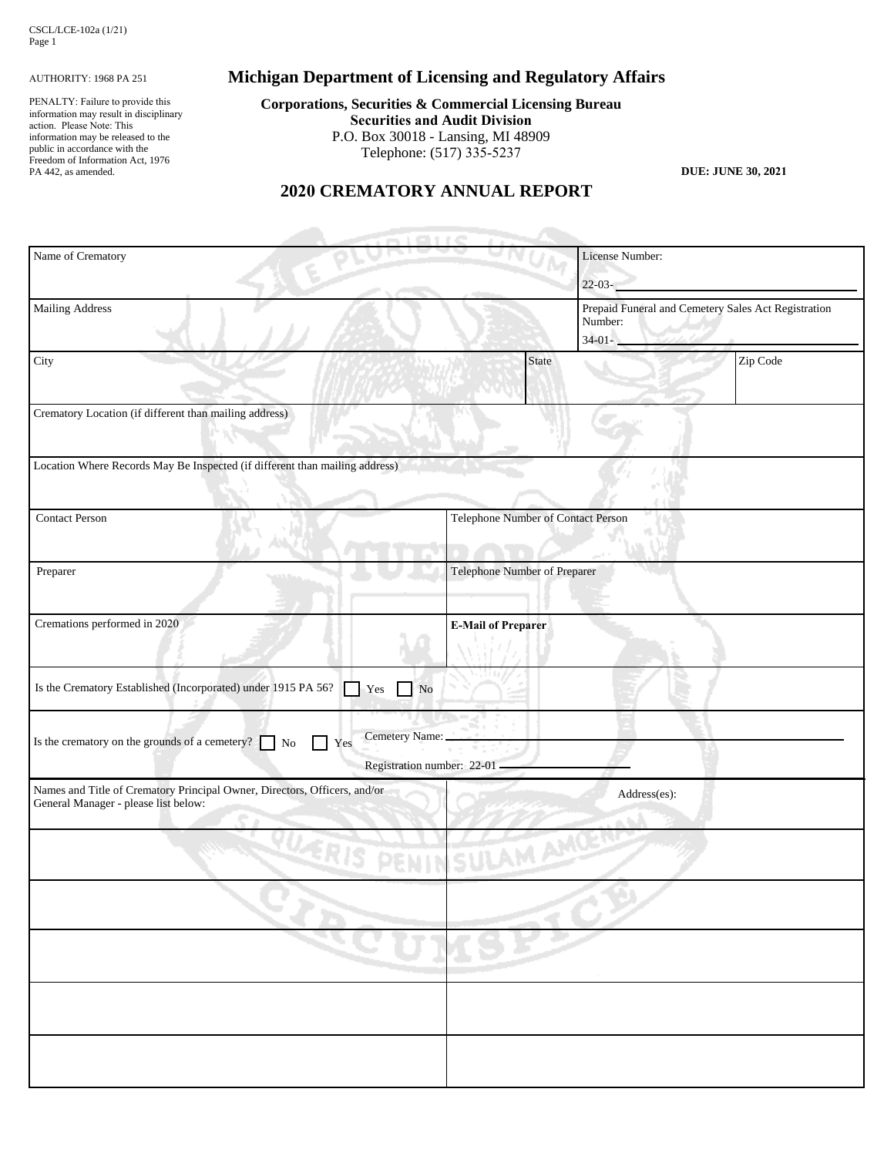#### AUTHORITY: 1968 PA 251

PENALTY: Failure to provide this information may result in disciplinary action. Please Note: This information may be released to the public in accordance with the Freedom of Information Act, 1976 PA 442, as amended.

# **Michigan Department of Licensing and Regulatory Affairs**

**Corporations, Securities & Commercial Licensing Bureau Securities and Audit Division** P.O. Box 30018 - Lansing, MI 48909 Telephone: (517) 335-5237

**DUE: JUNE 30, 2021**

## **2020 CREMATORY ANNUAL REPORT**

| Name of Crematory                                                                                                 |                                              | License Number:                    |                                                                                          |  |
|-------------------------------------------------------------------------------------------------------------------|----------------------------------------------|------------------------------------|------------------------------------------------------------------------------------------|--|
|                                                                                                                   |                                              |                                    | $22 - 03 -$                                                                              |  |
| <b>Mailing Address</b>                                                                                            |                                              |                                    | Prepaid Funeral and Cemetery Sales Act Registration<br>Number:<br>$34-01-$<br>Total deal |  |
| City                                                                                                              | State                                        |                                    | Zip Code                                                                                 |  |
| Crematory Location (if different than mailing address)                                                            |                                              |                                    |                                                                                          |  |
| Location Where Records May Be Inspected (if different than mailing address)                                       |                                              |                                    |                                                                                          |  |
| <b>Contact Person</b>                                                                                             |                                              | Telephone Number of Contact Person |                                                                                          |  |
| Preparer                                                                                                          | Telephone Number of Preparer                 |                                    |                                                                                          |  |
| Cremations performed in 2020                                                                                      | <b>E-Mail of Preparer</b>                    |                                    |                                                                                          |  |
| Is the Crematory Established (Incorporated) under 1915 PA 56?<br>$\Gamma$ Yes<br>No                               |                                              |                                    |                                                                                          |  |
| Is the crematory on the grounds of a cemetery?<br>$\rm No$<br>Yes                                                 | Cemetery Name:<br>Registration number: 22-01 |                                    |                                                                                          |  |
| Names and Title of Crematory Principal Owner, Directors, Officers, and/or<br>General Manager - please list below: |                                              | Address(es):                       |                                                                                          |  |
| PENINSULAMANCE                                                                                                    |                                              |                                    |                                                                                          |  |
|                                                                                                                   |                                              |                                    |                                                                                          |  |
|                                                                                                                   |                                              |                                    |                                                                                          |  |
|                                                                                                                   |                                              |                                    |                                                                                          |  |
|                                                                                                                   |                                              |                                    |                                                                                          |  |